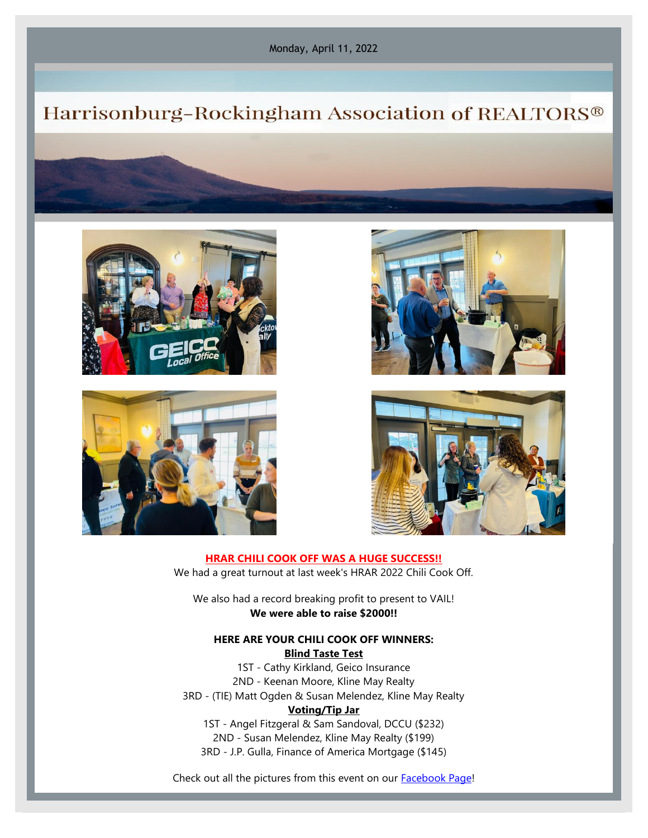Monday, April 11, 2022

# Harrisonburg-Rockingham Association of REALTORS®









**HRAR CHILI COOK OFF WAS A HUGE SUCCESS!!** We had a great turnout at last week's HRAR 2022 Chili Cook Off.

We also had a record breaking profit to present to VAIL! **We were able to raise \$2000!!**

## **HERE ARE YOUR CHILI COOK OFF WINNERS: Blind Taste Test**

1ST - Cathy Kirkland, Geico Insurance 2ND - Keenan Moore, Kline May Realty 3RD - (TIE) Matt Ogden & Susan Melendez, Kline May Realty **Voting/Tip Jar** 1ST - Angel Fitzgeral & Sam Sandoval, DCCU (\$232)

2ND - Susan Melendez, Kline May Realty (\$199) 3RD - J.P. Gulla, Finance of America Mortgage (\$145)

Check out all the pictures from this event on our [Facebook Page!](https://www.facebook.com/hburgrealtors)